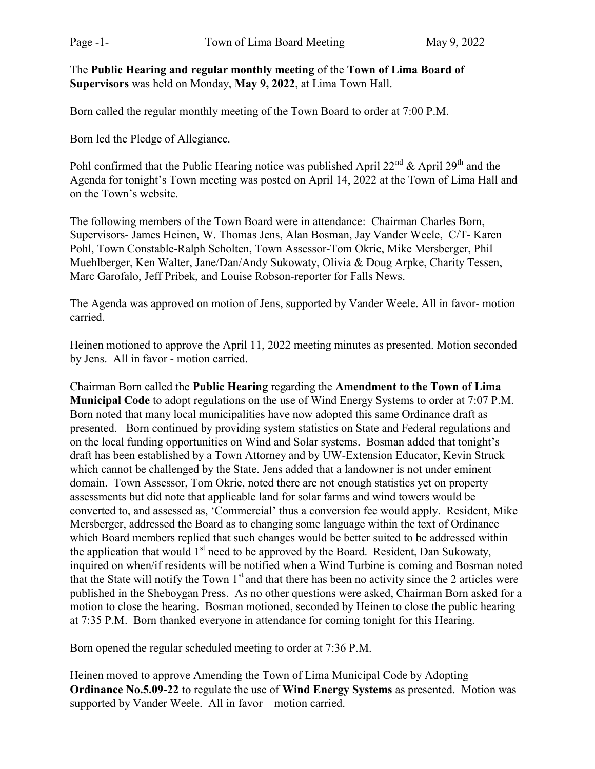The Public Hearing and regular monthly meeting of the Town of Lima Board of Supervisors was held on Monday, May 9, 2022, at Lima Town Hall.

Born called the regular monthly meeting of the Town Board to order at 7:00 P.M.

Born led the Pledge of Allegiance.

Pohl confirmed that the Public Hearing notice was published April  $22^{nd}$  & April  $29^{th}$  and the Agenda for tonight's Town meeting was posted on April 14, 2022 at the Town of Lima Hall and on the Town's website.

The following members of the Town Board were in attendance: Chairman Charles Born, Supervisors- James Heinen, W. Thomas Jens, Alan Bosman, Jay Vander Weele, C/T- Karen Pohl, Town Constable-Ralph Scholten, Town Assessor-Tom Okrie, Mike Mersberger, Phil Muehlberger, Ken Walter, Jane/Dan/Andy Sukowaty, Olivia & Doug Arpke, Charity Tessen, Marc Garofalo, Jeff Pribek, and Louise Robson-reporter for Falls News.

The Agenda was approved on motion of Jens, supported by Vander Weele. All in favor- motion carried.

Heinen motioned to approve the April 11, 2022 meeting minutes as presented. Motion seconded by Jens. All in favor - motion carried.

Chairman Born called the Public Hearing regarding the Amendment to the Town of Lima Municipal Code to adopt regulations on the use of Wind Energy Systems to order at 7:07 P.M. Born noted that many local municipalities have now adopted this same Ordinance draft as presented. Born continued by providing system statistics on State and Federal regulations and on the local funding opportunities on Wind and Solar systems. Bosman added that tonight's draft has been established by a Town Attorney and by UW-Extension Educator, Kevin Struck which cannot be challenged by the State. Jens added that a landowner is not under eminent domain. Town Assessor, Tom Okrie, noted there are not enough statistics yet on property assessments but did note that applicable land for solar farms and wind towers would be converted to, and assessed as, 'Commercial' thus a conversion fee would apply. Resident, Mike Mersberger, addressed the Board as to changing some language within the text of Ordinance which Board members replied that such changes would be better suited to be addressed within the application that would  $1<sup>st</sup>$  need to be approved by the Board. Resident, Dan Sukowaty, inquired on when/if residents will be notified when a Wind Turbine is coming and Bosman noted that the State will notify the Town 1<sup>st</sup> and that there has been no activity since the 2 articles were published in the Sheboygan Press. As no other questions were asked, Chairman Born asked for a motion to close the hearing. Bosman motioned, seconded by Heinen to close the public hearing at 7:35 P.M. Born thanked everyone in attendance for coming tonight for this Hearing.

Born opened the regular scheduled meeting to order at 7:36 P.M.

Heinen moved to approve Amending the Town of Lima Municipal Code by Adopting Ordinance No.5.09-22 to regulate the use of Wind Energy Systems as presented. Motion was supported by Vander Weele. All in favor – motion carried.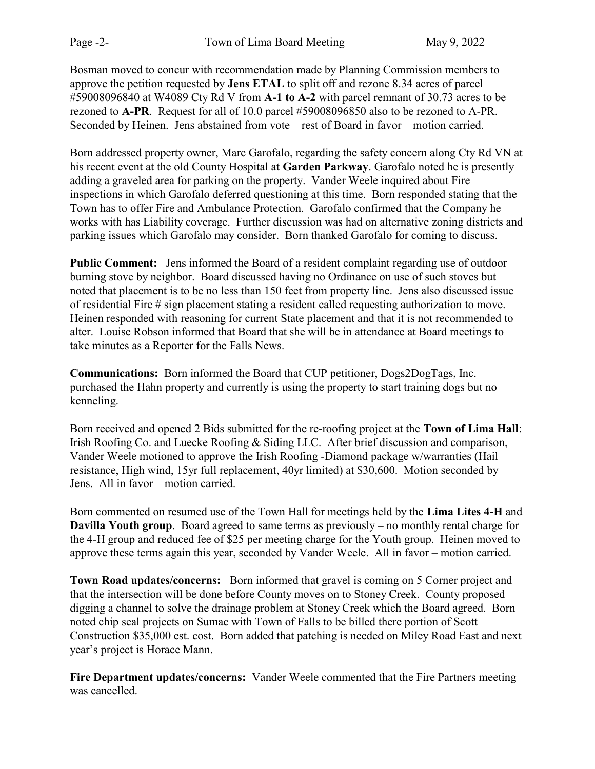Bosman moved to concur with recommendation made by Planning Commission members to approve the petition requested by Jens ETAL to split off and rezone 8.34 acres of parcel #59008096840 at W4089 Cty Rd V from A-1 to A-2 with parcel remnant of 30.73 acres to be rezoned to A-PR. Request for all of 10.0 parcel #59008096850 also to be rezoned to A-PR. Seconded by Heinen. Jens abstained from vote – rest of Board in favor – motion carried.

Born addressed property owner, Marc Garofalo, regarding the safety concern along Cty Rd VN at his recent event at the old County Hospital at Garden Parkway. Garofalo noted he is presently adding a graveled area for parking on the property. Vander Weele inquired about Fire inspections in which Garofalo deferred questioning at this time. Born responded stating that the Town has to offer Fire and Ambulance Protection. Garofalo confirmed that the Company he works with has Liability coverage. Further discussion was had on alternative zoning districts and parking issues which Garofalo may consider. Born thanked Garofalo for coming to discuss.

Public Comment: Jens informed the Board of a resident complaint regarding use of outdoor burning stove by neighbor. Board discussed having no Ordinance on use of such stoves but noted that placement is to be no less than 150 feet from property line. Jens also discussed issue of residential Fire # sign placement stating a resident called requesting authorization to move. Heinen responded with reasoning for current State placement and that it is not recommended to alter. Louise Robson informed that Board that she will be in attendance at Board meetings to take minutes as a Reporter for the Falls News.

Communications: Born informed the Board that CUP petitioner, Dogs2DogTags, Inc. purchased the Hahn property and currently is using the property to start training dogs but no kenneling.

Born received and opened 2 Bids submitted for the re-roofing project at the Town of Lima Hall: Irish Roofing Co. and Luecke Roofing & Siding LLC. After brief discussion and comparison, Vander Weele motioned to approve the Irish Roofing -Diamond package w/warranties (Hail resistance, High wind, 15yr full replacement, 40yr limited) at \$30,600. Motion seconded by Jens. All in favor – motion carried.

Born commented on resumed use of the Town Hall for meetings held by the Lima Lites 4-H and Davilla Youth group. Board agreed to same terms as previously – no monthly rental charge for the 4-H group and reduced fee of \$25 per meeting charge for the Youth group. Heinen moved to approve these terms again this year, seconded by Vander Weele. All in favor – motion carried.

Town Road updates/concerns: Born informed that gravel is coming on 5 Corner project and that the intersection will be done before County moves on to Stoney Creek. County proposed digging a channel to solve the drainage problem at Stoney Creek which the Board agreed. Born noted chip seal projects on Sumac with Town of Falls to be billed there portion of Scott Construction \$35,000 est. cost. Born added that patching is needed on Miley Road East and next year's project is Horace Mann.

Fire Department updates/concerns: Vander Weele commented that the Fire Partners meeting was cancelled.